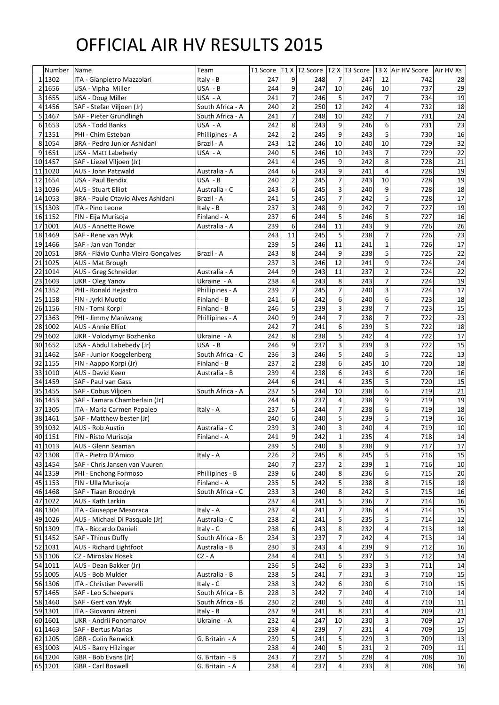## OFFICIAL AIR HV RESULTS 2015

|    | Number  | Name                                     | Team             |     |                |     |                |     |                         | T1 Score   T1 X   T2 Score   T2 X   T3 Score   T3 X   Air HV Score   Air HV Xs |           |
|----|---------|------------------------------------------|------------------|-----|----------------|-----|----------------|-----|-------------------------|--------------------------------------------------------------------------------|-----------|
|    | 1 1302  | ITA - Gianpietro Mazzolari               | Italy - B        | 247 | 9              | 248 | 7              | 247 | 12                      | 742                                                                            | 28        |
|    | 2 1656  | USA - Vipha Miller                       | USA - B          | 244 | 9              | 247 | 10             | 246 | 10                      | 737                                                                            | 29        |
|    | 3 1655  | USA - Doug Miller                        | USA - A          | 241 | $\overline{7}$ | 246 | 5              | 247 | $\overline{7}$          | 734                                                                            | 19        |
|    | 4 1456  | SAF - Stefan Viljoen (Jr)                | South Africa - A | 240 | $\overline{2}$ | 250 | 12             | 242 | 4                       | 732                                                                            | 18        |
|    | 5 1467  | SAF - Pieter Grundlingh                  | South Africa - A | 241 | 7              | 248 | 10             | 242 | $\overline{7}$          | 731                                                                            | 24        |
|    | 6 1653  | <b>USA - Todd Banks</b>                  | USA - A          | 242 | 8              | 243 | 9              | 246 | 6                       | 731                                                                            | 23        |
|    | 7 1351  | PHI - Chim Esteban                       | Phillipines - A  | 242 | $\overline{2}$ | 245 | 9              | 243 | 5                       | 730                                                                            | 16        |
|    | 8 1054  | <b>BRA - Pedro Junior Ashidani</b>       | Brazil - A       | 243 | 12             | 246 | 10             | 240 | 10                      | 729                                                                            | 32        |
|    | 9 1651  | USA - Matt Labebedy                      | USA - A          | 240 | 5              | 246 | 10             | 243 | $\overline{7}$          | 729                                                                            | 22        |
|    | 10 1457 | SAF - Liezel Viljoen (Jr)                |                  | 241 | 4              | 245 | 9              | 242 | 8                       | 728                                                                            | 21        |
|    | 11 1020 | AUS - John Patzwald                      | Australia - A    | 244 | 6              | 243 | 9              | 241 | 4                       | 728                                                                            | 19        |
|    | 12 1654 | <b>USA - Paul Bendix</b>                 | USA - B          | 240 | $\overline{2}$ | 245 | $\overline{7}$ | 243 | 10                      | 728                                                                            | 19        |
|    | 13 1036 | <b>AUS - Stuart Elliot</b>               | Australia - C    | 243 | 6              | 245 | $\overline{3}$ | 240 | 9                       | 728                                                                            | 18        |
|    | 14 1053 | <b>BRA - Paulo Otavio Alves Ashidani</b> | Brazil - A       | 241 | 5              | 245 | $\overline{7}$ | 242 | 5                       | 728                                                                            | 17        |
|    | 15 1303 | ITA - Pino Leone                         | Italy - $B$      | 237 | 3              | 248 | 9              | 242 | $\overline{7}$          | 727                                                                            | 19        |
|    | 16 1152 | FIN - Eija Murisoja                      | Finland - A      | 237 | 6              | 244 | 5              | 246 | 5                       | 727                                                                            | 16        |
| 17 | 1001    | <b>AUS - Annette Rowe</b>                | Australia - A    | 239 | 6              | 244 | 11             | 243 | 9                       | 726                                                                            | 26        |
|    | 18 1469 | SAF - Rene van Wyk                       |                  | 243 | 11             | 245 | 5              | 238 | $\overline{7}$          | 726                                                                            | 23        |
|    | 19 1466 | SAF - Jan van Tonder                     |                  | 239 | 5              | 246 | 11             | 241 | 1                       | 726                                                                            | 17        |
|    | 20 1051 | BRA - Flávio Cunha Vieira Gonçalves      | Brazil - A       | 243 | 8              | 244 | 9              | 238 | 5                       | 725                                                                            | 22        |
|    | 21 1025 | AUS - Mat Brough                         |                  | 237 | 3              | 246 | 12             | 241 | $\overline{9}$          | 724                                                                            | 24        |
| 22 | 1014    | AUS - Greg Schneider                     | Australia - A    | 244 | 9              | 243 | 11             | 237 | $\overline{2}$          | 724                                                                            | 22        |
|    | 23 1603 | <b>UKR</b> - Oleg Yanov                  | Ukraine - A      | 238 | 4              | 243 | 8              | 243 | $\overline{7}$          | 724                                                                            | 19        |
|    | 24 1352 | PHI - Ronald Hejastro                    | Phillipines - A  | 239 | 7              | 245 | $\overline{7}$ | 240 | $\overline{3}$          | 724                                                                            | 17        |
|    | 25 1158 | FIN - Jyrki Muotio                       | Finland - B      | 241 | 6              | 242 | 6              | 240 | 6                       | 723                                                                            | 18        |
|    | 26 1156 | FIN - Tomi Korpi                         | Finland - B      | 246 | 5              | 239 | $\overline{3}$ | 238 | $\overline{7}$          | 723                                                                            | 15        |
|    | 27 1363 | PHI - Jimmy Maniwang                     | Phillipines - A  | 240 | 9              | 244 | $\overline{7}$ | 238 | $\overline{7}$          | 722                                                                            | 23        |
|    | 28 1002 | <b>AUS - Annie Elliot</b>                |                  | 242 | $\overline{7}$ | 241 | 6              | 239 | 5                       | 722                                                                            | 18        |
| 29 | 1602    | UKR - Volodymyr Bozhenko                 | Ukraine - A      | 242 | 8              | 238 | 5              | 242 | 4                       | 722                                                                            | 17        |
|    | 30 1652 | USA - Abdul Labebedy (Jr)                | USA - B          | 246 | 9              | 237 | $\overline{3}$ | 239 | $\overline{3}$          | 722                                                                            | 15        |
|    | 31 1462 | SAF - Junior Koegelenberg                | South Africa - C | 236 | 3              | 246 | 5              | 240 | 5                       | 722                                                                            | 13        |
|    | 32 1155 | FIN - Aappo Korpi (Jr)                   | Finland - B      | 237 | $\overline{2}$ | 238 | 6              | 245 | 10                      | 720                                                                            | 18        |
|    | 33 1010 | AUS - David Keen                         | Australia - B    | 239 | 4              | 238 | 6              | 243 | 6                       | 720                                                                            | 16        |
|    | 34 1459 | SAF - Paul van Gass                      |                  | 244 | 6              | 241 | 4              | 235 | 5                       | 720                                                                            | 15        |
|    | 35 1455 | SAF - Cobus Viljoen                      | South Africa - A | 237 | 5              | 244 | 10             | 238 | 6                       | 719                                                                            | 21        |
|    | 36 1453 | SAF - Tamara Chamberlain (Jr)            |                  | 244 | 6              | 237 | 4              | 238 | 9                       | 719                                                                            | 19        |
|    | 37 1305 | ITA - Maria Carmen Papaleo               | Italy - A        | 237 | 5              | 244 | $\overline{7}$ | 238 | 6                       | 719                                                                            | 18        |
|    | 38 1461 | SAF - Matthew bester (Jr)                |                  | 240 | 6              | 240 | 5              | 239 | 5                       | 719                                                                            | 16        |
|    | 39 1032 | <b>AUS - Rob Austin</b>                  | Australia - C    | 239 | 3              | 240 | $\overline{3}$ | 240 | 4                       | 719                                                                            | 10        |
|    | 40 1151 | FIN - Risto Murisoja                     | Finland - A      | 241 | 9              | 242 | $\overline{1}$ | 235 | 4                       | 718                                                                            | 14        |
| 41 | 1013    | <b>AUS - Glenn Seaman</b>                |                  | 239 | 5              | 240 | $\overline{3}$ | 238 | 9                       | 717                                                                            | 17        |
|    | 42 1308 | ITA - Pietro D'Amico                     | Italy - A        | 226 | $\overline{2}$ | 245 | 8              | 245 | 5                       | 716                                                                            | 15        |
|    | 43 1454 | SAF - Chris Jansen van Vuuren            |                  | 240 | $\overline{7}$ | 237 | $\overline{2}$ | 239 | $\mathbf 1$             | 716                                                                            | 10        |
|    | 44 1359 | PHI - Enchong Formoso                    | Phillipines - B  | 239 | 6              | 240 | 8              | 236 | 6                       | 715                                                                            | 20        |
|    | 45 1153 | FIN - Ulla Murisoja                      | Finland - A      | 235 | 5              | 242 | 5              | 238 | 8                       | 715                                                                            | 18        |
|    | 46 1468 | SAF - Tiaan Broodryk                     | South Africa - C | 233 | 3              | 240 | 8              | 242 | 5                       | 715                                                                            | 16        |
|    | 47 1022 | AUS - Kath Larkin                        |                  | 237 | 4              | 241 | 5              | 236 | $\overline{7}$          | 714                                                                            | 16        |
|    | 48 1304 | ITA - Giuseppe Mesoraca                  | Italy - A        | 237 | 4              | 241 | $\overline{7}$ | 236 | 4                       | 714                                                                            | 15        |
|    | 49 1026 | AUS - Michael Di Pasquale (Jr)           | Australia - C    | 238 | $\overline{2}$ | 241 | 5              | 235 | 5                       | 714                                                                            | 12        |
|    | 50 1309 | ITA - Riccardo Danieli                   | Italy - C        | 238 | 6              | 243 | 8              | 232 | 4                       | 713                                                                            | 18        |
|    | 51 1452 | SAF - Thinus Duffy                       | South Africa - B | 234 | 3              | 237 | $\overline{7}$ | 242 | 4                       | 713                                                                            | 14        |
|    | 52 1031 | <b>AUS - Richard Lightfoot</b>           | Australia - B    | 230 | 3              | 243 | 4              | 239 | 9                       | 712                                                                            | 16        |
|    | 53 1106 | CZ - Miroslav Hosek                      | $CZ - A$         | 234 | 4              | 241 | 5              | 237 | 5                       | 712                                                                            | 14        |
|    | 54 1011 | AUS - Dean Bakker (Jr)                   |                  | 236 | 5              | 242 | 6              | 233 | $\overline{3}$          | 711                                                                            | 14        |
|    | 55 1005 | AUS - Bob Mulder                         | Australia - B    | 238 | 5              | 241 | $\overline{7}$ | 231 | $\overline{3}$          | 710                                                                            | 15        |
|    | 56 1306 | ITA - Christian Peverelli                | Italy - C        | 238 | 3              | 242 | 6              | 230 | 6                       | 710                                                                            | 15        |
|    | 57 1465 | SAF - Leo Scheepers                      | South Africa - B | 228 | 3              | 242 | $\overline{7}$ | 240 | 4                       | 710                                                                            | 14        |
|    | 58 1460 | SAF - Gert van Wyk                       | South Africa - B | 230 | 2              | 240 | 5              | 240 | 4                       | 710                                                                            | 11        |
|    | 59 1301 | ITA - Giovanni Atzeni                    | Italy - B        | 237 | 9              | 241 | 8              | 231 | $\overline{4}$          | 709                                                                            | 21        |
|    | 60 1601 | <b>UKR</b> - Andrii Ponomarov            | Ukraine - A      | 232 | 4              | 247 | 10             | 230 | $\overline{3}$          | 709                                                                            | 17        |
|    | 61 1463 | SAF - Bertus Marias                      |                  | 239 | 4              | 239 | $\overline{7}$ | 231 | 4                       | 709                                                                            | 15        |
|    | 62 1205 | <b>GBR</b> - Colin Renwick               | G. Britain - A   | 239 | 5              | 241 | 5              | 229 | 3                       | 709                                                                            | 13        |
|    | 63 1003 | <b>AUS - Barry Hilzinger</b>             |                  | 238 | 4              | 240 | 5              | 231 | $\overline{2}$          | 709                                                                            | 11        |
|    | 64 1204 | GBR - Bob Evans (Jr)                     | G. Britain - B   | 243 | 7              | 237 | $\mathsf{5}$   | 228 | $\overline{\mathbf{4}}$ | 708                                                                            | 16        |
|    | 65 1201 | <b>GBR</b> - Carl Boswell                | G. Britain - A   | 238 | 4              | 237 | 4              | 233 | 8 <sup>1</sup>          | 708                                                                            | <b>16</b> |